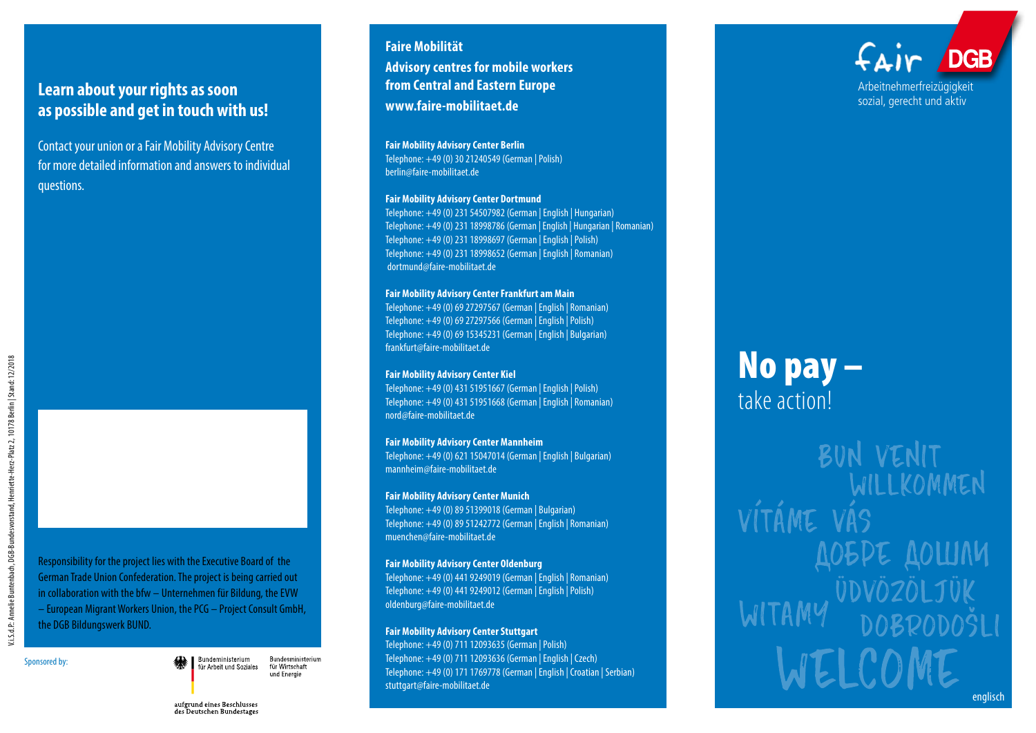## **Learn about your rights as soon as possible and get in touch with us!**

Contact your union or a Fair Mobility Advisory Centre for more detailed information and answers to individual questions.

Responsibility for the project lies with the Executive Board of the German Trade Union Confederation. The project is being carried out in collaboration with the bfw – Unternehmen für Bildung, the EVW – European Migrant Workers Union, the PCG – Project Consult GmbH, the DGB Bildungswerk BUND.

Sponsored by:

Bundeministerium für Arbeit und Soziales

Bundesministerium für Wirtschaft und Energie

## **from Central and Eastern Europe www.faire-mobilitaet.de Fair Mobility Advisory Center Berlin**

**Faire Mobilität** 

Telephone: +49 (0) 30 21240549 (German | Polish) berlin@faire-mobilitaet.de

**Advisory centres for mobile workers** 

#### **Fair Mobility Advisory Center Dortmund**

Telephone: +49 (0) 231 54507982 (German | English | Hungarian) Telephone: +49 (0) 231 18998786 (German | English | Hungarian | Romanian) Telephone: +49 (0) 231 18998697 (German | English | Polish) Telephone: +49 (0) 231 18998652 (German | English | Romanian) dortmund@faire-mobilitaet.de

### **Fair Mobility Advisory Center Frankfurt am Main**

Telephone: +49 (0) 69 27297567 (German | English | Romanian) Telephone: +49 (0) 69 27297566 (German | English | Polish) Telephone: +49 (0) 69 15345231 (German | English | Bulgarian) frankfurt@faire-mobilitaet.de

### **Fair Mobility Advisory Center Kiel**

Telephone: +49 (0) 431 51951667 (German | English | Polish) Telephone: +49 (0) 431 51951668 (German | English | Romanian) nord@faire-mobilitaet.de

#### **Fair Mobility Advisory Center Mannheim**

Telephone: +49 (0) 621 15047014 (German | English | Bulgarian) mannheim@faire-mobilitaet.de

### **Fair Mobility Advisory Center Munich**

Telephone: +49 (0) 89 51399018 (German | Bulgarian) Telephone: +49 (0) 89 51242772 (German | English | Romanian) muenchen@faire-mobilitaet.de

### **Fair Mobility Advisory Center Oldenburg**

Telephone: +49 (0) 441 9249019 (German | English | Romanian) Telephone: +49 (0) 441 9249012 (German | English | Polish) oldenburg@faire-mobilitaet.de

### **Fair Mobility Advisory Center Stuttgart**

Telephone: +49 (0) 711 12093635 (German | Polish) Telephone: +49 (0) 711 12093636 (German | English | Czech) Telephone: +49 (0) 171 1769778 (German | English | Croatian | Serbian) stuttgart@faire-mobilitaet.de



# No pay – take action!

BUN VENIT WILLKOMMEN VÍTÁME VÁS **DOEDE DOWNN** ÜDVÖZÖLJ **DOBRODOŠLI** WELCOME

aufgrund eines Beschlusses des Deutschen Bundestages englisch